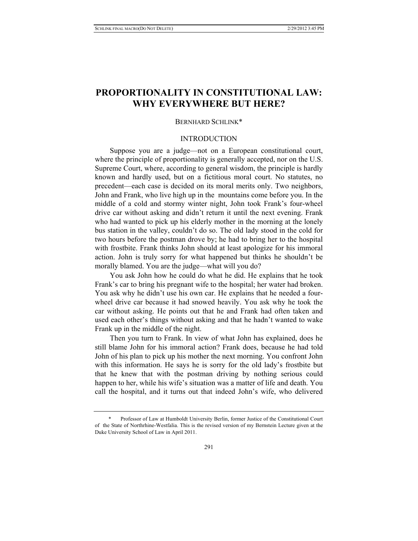# **PROPORTIONALITY IN CONSTITUTIONAL LAW: WHY EVERYWHERE BUT HERE?**

#### BERNHARD SCHLINK\*

## INTRODUCTION

Suppose you are a judge—not on a European constitutional court, where the principle of proportionality is generally accepted, nor on the U.S. Supreme Court, where, according to general wisdom, the principle is hardly known and hardly used, but on a fictitious moral court. No statutes, no precedent—each case is decided on its moral merits only. Two neighbors, John and Frank, who live high up in the mountains come before you. In the middle of a cold and stormy winter night, John took Frank's four-wheel drive car without asking and didn't return it until the next evening. Frank who had wanted to pick up his elderly mother in the morning at the lonely bus station in the valley, couldn't do so. The old lady stood in the cold for two hours before the postman drove by; he had to bring her to the hospital with frostbite. Frank thinks John should at least apologize for his immoral action. John is truly sorry for what happened but thinks he shouldn't be morally blamed. You are the judge—what will you do?

You ask John how he could do what he did. He explains that he took Frank's car to bring his pregnant wife to the hospital; her water had broken. You ask why he didn't use his own car. He explains that he needed a fourwheel drive car because it had snowed heavily. You ask why he took the car without asking. He points out that he and Frank had often taken and used each other's things without asking and that he hadn't wanted to wake Frank up in the middle of the night.

Then you turn to Frank. In view of what John has explained, does he still blame John for his immoral action? Frank does, because he had told John of his plan to pick up his mother the next morning. You confront John with this information. He says he is sorry for the old lady's frostbite but that he knew that with the postman driving by nothing serious could happen to her, while his wife's situation was a matter of life and death. You call the hospital, and it turns out that indeed John's wife, who delivered

 <sup>\*</sup> Professor of Law at Humboldt University Berlin, former Justice of the Constitutional Court of the State of Northrhine-Westfalia. This is the revised version of my Bernstein Lecture given at the Duke University School of Law in April 2011.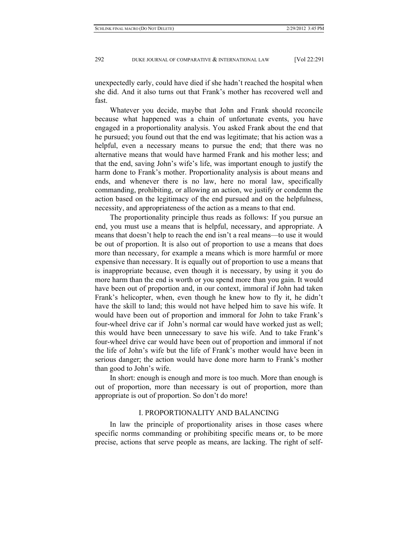unexpectedly early, could have died if she hadn't reached the hospital when she did. And it also turns out that Frank's mother has recovered well and fast.

Whatever you decide, maybe that John and Frank should reconcile because what happened was a chain of unfortunate events, you have engaged in a proportionality analysis. You asked Frank about the end that he pursued; you found out that the end was legitimate; that his action was a helpful, even a necessary means to pursue the end; that there was no alternative means that would have harmed Frank and his mother less; and that the end, saving John's wife's life, was important enough to justify the harm done to Frank's mother. Proportionality analysis is about means and ends, and whenever there is no law, here no moral law, specifically commanding, prohibiting, or allowing an action, we justify or condemn the action based on the legitimacy of the end pursued and on the helpfulness, necessity, and appropriateness of the action as a means to that end.

The proportionality principle thus reads as follows: If you pursue an end, you must use a means that is helpful, necessary, and appropriate. A means that doesn't help to reach the end isn't a real means—to use it would be out of proportion. It is also out of proportion to use a means that does more than necessary, for example a means which is more harmful or more expensive than necessary. It is equally out of proportion to use a means that is inappropriate because, even though it is necessary, by using it you do more harm than the end is worth or you spend more than you gain. It would have been out of proportion and, in our context, immoral if John had taken Frank's helicopter, when, even though he knew how to fly it, he didn't have the skill to land; this would not have helped him to save his wife. It would have been out of proportion and immoral for John to take Frank's four-wheel drive car if John's normal car would have worked just as well; this would have been unnecessary to save his wife. And to take Frank's four-wheel drive car would have been out of proportion and immoral if not the life of John's wife but the life of Frank's mother would have been in serious danger; the action would have done more harm to Frank's mother than good to John's wife.

In short: enough is enough and more is too much. More than enough is out of proportion, more than necessary is out of proportion, more than appropriate is out of proportion. So don't do more!

# I. PROPORTIONALITY AND BALANCING

In law the principle of proportionality arises in those cases where specific norms commanding or prohibiting specific means or, to be more precise, actions that serve people as means, are lacking. The right of self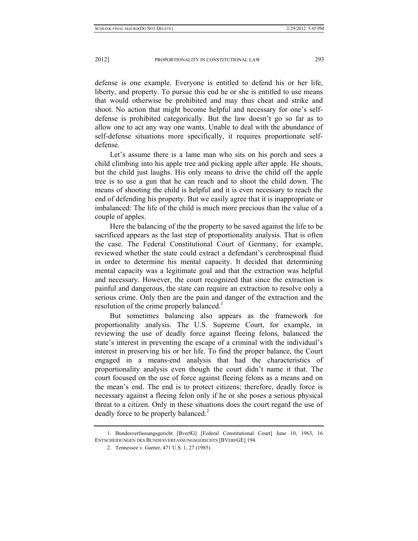defense is one example. Everyone is entitled to defend his or her life, liberty, and property. To pursue this end he or she is entitled to use means that would otherwise be prohibited and may thus cheat and strike and shoot. No action that might become helpful and necessary for one's selfdefense is prohibited categorically. But the law doesn't go so far as to allow one to act any way one wants. Unable to deal with the abundance of self-defense situations more specifically, it requires proportionate selfdefense.

Let's assume there is a lame man who sits on his porch and sees a child climbing into his apple tree and picking apple after apple. He shouts, but the child just laughs. His only means to drive the child off the apple tree is to use a gun that he can reach and to shoot the child down. The means of shooting the child is helpful and it is even necessary to reach the end of defending his property. But we easily agree that it is inappropriate or imbalanced: The life of the child is much more precious than the value of a couple of apples.

Here the balancing of the the property to be saved against the life to be sacrificed appears as the last step of proportionality analysis. That is often the case. The Federal Constitutional Court of Germany, for example, reviewed whether the state could extract a defendant's cerebrospinal fluid in order to determine his mental capacity. It decided that determining mental capacity was a legitimate goal and that the extraction was helpful and necessary. However, the court recognized that since the extraction is painful and dangerous, the state can require an extraction to resolve only a serious crime. Only then are the pain and danger of the extraction and the resolution of the crime properly balanced.<sup>1</sup>

But sometimes balancing also appears as the framework for proportionality analysis. The U.S. Supreme Court, for example, in reviewing the use of deadly force against fleeing felons, balanced the state's interest in preventing the escape of a criminal with the individual's interest in preserving his or her life. To find the proper balance, the Court engaged in a means-end analysis that had the characteristics of proportionality analysis even though the court didn't name it that. The court focused on the use of force against fleeing felons as a means and on the mean's end. The end is to protect citizens; therefore, deadly force is necessary against a fleeing felon only if he or she poses a serious physical threat to a citizen. Only in these situations does the court regard the use of deadly force to be properly balanced.<sup>2</sup>

 <sup>1.</sup> Bundesverfassungsgericht [BverfG] [Federal Constitutional Court] June 10, 1963, 16 ENTSCHEIDUNGEN DES BUNDESVERFASSUNGSGERICHTS [BVERFGE] 194.

 <sup>2.</sup> Tennessee v. Garner, 471 U.S. 1, 27 (1985).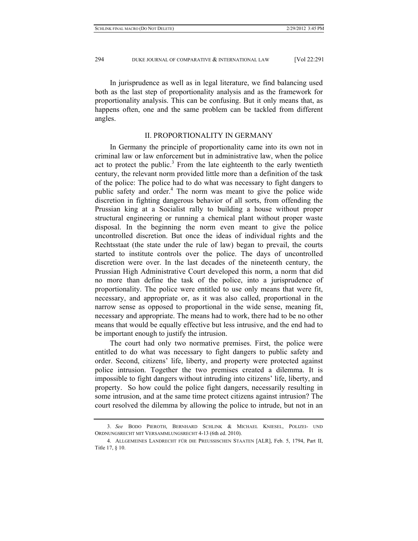In jurisprudence as well as in legal literature, we find balancing used both as the last step of proportionality analysis and as the framework for proportionality analysis. This can be confusing. But it only means that, as happens often, one and the same problem can be tackled from different angles.

#### II. PROPORTIONALITY IN GERMANY

In Germany the principle of proportionality came into its own not in criminal law or law enforcement but in administrative law, when the police act to protect the public.<sup>3</sup> From the late eighteenth to the early twentieth century, the relevant norm provided little more than a definition of the task of the police: The police had to do what was necessary to fight dangers to public safety and order.<sup>4</sup> The norm was meant to give the police wide discretion in fighting dangerous behavior of all sorts, from offending the Prussian king at a Socialist rally to building a house without proper structural engineering or running a chemical plant without proper waste disposal. In the beginning the norm even meant to give the police uncontrolled discretion. But once the ideas of individual rights and the Rechtsstaat (the state under the rule of law) began to prevail, the courts started to institute controls over the police. The days of uncontrolled discretion were over. In the last decades of the nineteenth century, the Prussian High Administrative Court developed this norm, a norm that did no more than define the task of the police, into a jurisprudence of proportionality. The police were entitled to use only means that were fit, necessary, and appropriate or, as it was also called, proportional in the narrow sense as opposed to proportional in the wide sense, meaning fit, necessary and appropriate. The means had to work, there had to be no other means that would be equally effective but less intrusive, and the end had to be important enough to justify the intrusion.

The court had only two normative premises. First, the police were entitled to do what was necessary to fight dangers to public safety and order. Second, citizens' life, liberty, and property were protected against police intrusion. Together the two premises created a dilemma. It is impossible to fight dangers without intruding into citizens' life, liberty, and property. So how could the police fight dangers, necessarily resulting in some intrusion, and at the same time protect citizens against intrusion? The court resolved the dilemma by allowing the police to intrude, but not in an

 <sup>3.</sup> *See* BODO PIEROTH, BERNHARD SCHLINK & MICHAEL KNIESEL, POLIZEI- UND ORDNUNGSRECHT MIT VERSAMMLUNGSRECHT 4-13 (6th ed. 2010).

 <sup>4.</sup> ALLGEMEINES LANDRECHT FÜR DIE PREUSSISCHEN STAATEN [ALR], Feb. 5, 1794, Part II, Title 17, § 10.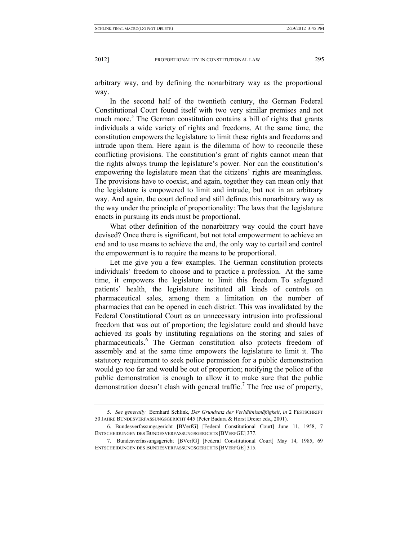arbitrary way, and by defining the nonarbitrary way as the proportional way.

In the second half of the twentieth century, the German Federal Constitutional Court found itself with two very similar premises and not much more.<sup>5</sup> The German constitution contains a bill of rights that grants individuals a wide variety of rights and freedoms. At the same time, the constitution empowers the legislature to limit these rights and freedoms and intrude upon them. Here again is the dilemma of how to reconcile these conflicting provisions. The constitution's grant of rights cannot mean that the rights always trump the legislature's power. Nor can the constitution's empowering the legislature mean that the citizens' rights are meaningless. The provisions have to coexist, and again, together they can mean only that the legislature is empowered to limit and intrude, but not in an arbitrary way. And again, the court defined and still defines this nonarbitrary way as the way under the principle of proportionality: The laws that the legislature enacts in pursuing its ends must be proportional.

What other definition of the nonarbitrary way could the court have devised? Once there is significant, but not total empowerment to achieve an end and to use means to achieve the end, the only way to curtail and control the empowerment is to require the means to be proportional.

Let me give you a few examples. The German constitution protects individuals' freedom to choose and to practice a profession. At the same time, it empowers the legislature to limit this freedom. To safeguard patients' health, the legislature instituted all kinds of controls on pharmaceutical sales, among them a limitation on the number of pharmacies that can be opened in each district. This was invalidated by the Federal Constitutional Court as an unnecessary intrusion into professional freedom that was out of proportion; the legislature could and should have achieved its goals by instituting regulations on the storing and sales of pharmaceuticals.<sup>6</sup> The German constitution also protects freedom of assembly and at the same time empowers the legislature to limit it. The statutory requirement to seek police permission for a public demonstration would go too far and would be out of proportion; notifying the police of the public demonstration is enough to allow it to make sure that the public demonstration doesn't clash with general traffic.<sup>7</sup> The free use of property,

 <sup>5.</sup> *See generally* Bernhard Schlink, *Der Grundsatz der Verhältnismäßigkeit*, *in* 2 FESTSCHRIFT 50 JAHRE BUNDESVERFASSUNGSGERICHT 445 (Peter Badura & Horst Dreier eds., 2001).

 <sup>6.</sup> Bundesverfassungsgericht [BVerfG] [Federal Constitutional Court] June 11, 1958, 7 ENTSCHEIDUNGEN DES BUNDESVERFASSUNGSGERICHTS [BVERFGE] 377.

 <sup>7.</sup> Bundesverfassungsgericht [BVerfG] [Federal Constitutional Court] May 14, 1985, 69 ENTSCHEIDUNGEN DES BUNDESVERFASSUNGSGERICHTS [BVERFGE] 315.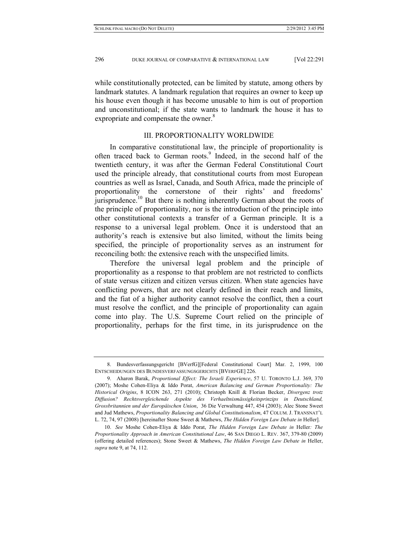while constitutionally protected, can be limited by statute, among others by landmark statutes. A landmark regulation that requires an owner to keep up his house even though it has become unusable to him is out of proportion and unconstitutional; if the state wants to landmark the house it has to expropriate and compensate the owner.<sup>8</sup>

#### III. PROPORTIONALITY WORLDWIDE

In comparative constitutional law, the principle of proportionality is often traced back to German roots.<sup>9</sup> Indeed, in the second half of the twentieth century, it was after the German Federal Constitutional Court used the principle already, that constitutional courts from most European countries as well as Israel, Canada, and South Africa, made the principle of proportionality the cornerstone of their rights' and freedoms' jurisprudence.<sup>10</sup> But there is nothing inherently German about the roots of the principle of proportionality, nor is the introduction of the principle into other constitutional contexts a transfer of a German principle. It is a response to a universal legal problem. Once it is understood that an authority's reach is extensive but also limited, without the limits being specified, the principle of proportionality serves as an instrument for reconciling both: the extensive reach with the unspecified limits.

Therefore the universal legal problem and the principle of proportionality as a response to that problem are not restricted to conflicts of state versus citizen and citizen versus citizen. When state agencies have conflicting powers, that are not clearly defined in their reach and limits, and the fiat of a higher authority cannot resolve the conflict, then a court must resolve the conflict, and the principle of proportionality can again come into play. The U.S. Supreme Court relied on the principle of proportionality, perhaps for the first time, in its jurisprudence on the

 <sup>8.</sup> Bundesverfassungsgericht [BVerfG][Federal Constitutional Court] Mar. 2, 1999, 100 ENTSCHEIDUNGEN DES BUNDESVERFASSUNGSGERICHTS [BVERFGE] 226.

 <sup>9.</sup> Aharon Barak, *Proportional Effect: The Israeli Experience*, 57 U. TORONTO L.J. 369, 370 (2007); Moshe Cohen-Eliya & Iddo Porat, *American Balancing and German Proportionality: The Historical Origins*, 8 ICON 263, 271 (2010); Christoph Knill & Florian Becker, *Divergenz trotz Diffusion? Rechtsvergleichende Aspekte des Verhaeltnismässigkeitsprinzips in Deutschland, Grossbritannien und der Europäischen Union*, 36 Die Verwaltung 447, 454 (2003); Alec Stone Sweet and Jud Mathews, *Proportionality Balancing and Global Constitutionalism*, 47 COLUM. J. TRANSNAT'L L. 72, 74, 97 (2008) [hereinafter Stone Sweet & Mathews, *The Hidden Foreign Law Debate in* Heller].

 <sup>10.</sup> *See* Moshe Cohen-Eliya & Iddo Porat, *The Hidden Foreign Law Debate in* Heller*: The Proportionality Approach in American Constitutional Law*, 46 SAN DIEGO L. REV. 367, 379-80 (2009) (offering detailed references); Stone Sweet & Mathews, *The Hidden Foreign Law Debate in* Heller, *supra* note 9, at 74, 112.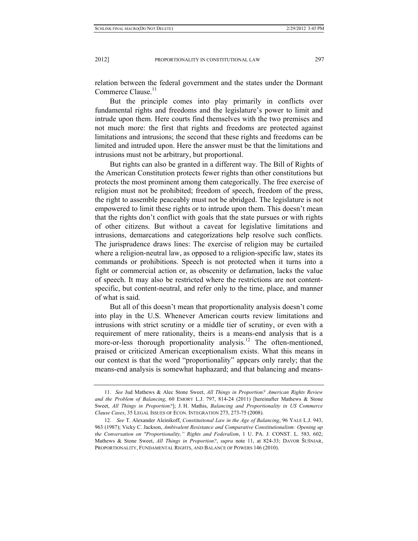relation between the federal government and the states under the Dormant Commerce Clause.<sup>11</sup>

But the principle comes into play primarily in conflicts over fundamental rights and freedoms and the legislature's power to limit and intrude upon them. Here courts find themselves with the two premises and not much more: the first that rights and freedoms are protected against limitations and intrusions; the second that these rights and freedoms can be limited and intruded upon. Here the answer must be that the limitations and intrusions must not be arbitrary, but proportional.

But rights can also be granted in a different way. The Bill of Rights of the American Constitution protects fewer rights than other constitutions but protects the most prominent among them categorically. The free exercise of religion must not be prohibited; freedom of speech, freedom of the press, the right to assemble peaceably must not be abridged. The legislature is not empowered to limit these rights or to intrude upon them. This doesn't mean that the rights don't conflict with goals that the state pursues or with rights of other citizens. But without a caveat for legislative limitations and intrusions, demarcations and categorizations help resolve such conflicts. The jurisprudence draws lines: The exercise of religion may be curtailed where a religion-neutral law, as opposed to a religion-specific law, states its commands or prohibitions. Speech is not protected when it turns into a fight or commercial action or, as obscenity or defamation, lacks the value of speech. It may also be restricted where the restrictions are not contentspecific, but content-neutral, and refer only to the time, place, and manner of what is said.

But all of this doesn't mean that proportionality analysis doesn't come into play in the U.S. Whenever American courts review limitations and intrusions with strict scrutiny or a middle tier of scrutiny, or even with a requirement of mere rationality, theirs is a means-end analysis that is a more-or-less thorough proportionality analysis.<sup>12</sup> The often-mentioned, praised or criticized American exceptionalism exists. What this means in our context is that the word "proportionality" appears only rarely; that the means-end analysis is somewhat haphazard; and that balancing and means-

 <sup>11.</sup> *See* Jud Mathews & Alec Stone Sweet, *All Things in Proportion? American Rights Review and the Problem of Balancing*, 60 EMORY L.J. 797, 814-24 (2011) [hereinafter Mathews & Stone Sweet, *All Things in Proportion?*]; J. H. Mathis, *Balancing and Proportionality in US Commerce Clause Cases*, 35 LEGAL ISSUES OF ECON. INTEGRATION 273, 273-75 (2008).

 <sup>12.</sup> *See* T. Alexander Aleinikoff, *Constituitonal Law in the Age of Balancing*, 96 YALE L.J. 943, 963 (1987); Vicky C. Jackson, *Ambivalent Resistance and Comparative Constitutionalism: Opening up the Conversation on "Proportionality," Rights and Federalism*, 1 U. PA. J. CONST. L. 583, 602; Mathews & Stone Sweet, *All Things in Proportion?*, *supra* note 11, at 824-33; DAVOR ŠUŠNJAR, PROPORTIONALITY, FUNDAMENTAL RIGHTS, AND BALANCE OF POWERS 146 (2010).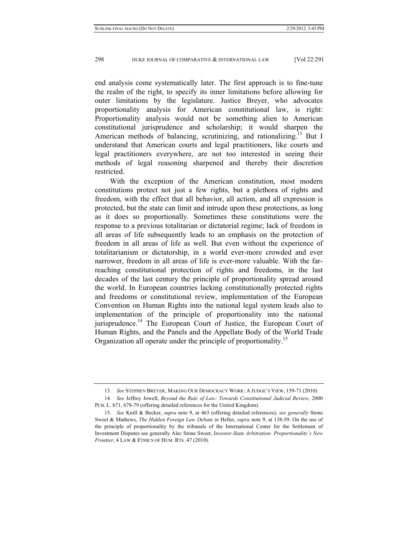end analysis come systematically later. The first approach is to fine-tune the realm of the right, to specify its inner limitations before allowing for outer limitations by the legislature. Justice Breyer, who advocates proportionality analysis for American constitutional law, is right: Proportionality analysis would not be something alien to American constitutional jurisprudence and scholarship; it would sharpen the American methods of balancing, scrutinizing, and rationalizing.<sup>13</sup> But I understand that American courts and legal practitioners, like courts and legal practitioners everywhere, are not too interested in seeing their methods of legal reasoning sharpened and thereby their discretion restricted.

With the exception of the American constitution, most modern constitutions protect not just a few rights, but a plethora of rights and freedom, with the effect that all behavior, all action, and all expression is protected, but the state can limit and intrude upon these protections, as long as it does so proportionally. Sometimes these constitutions were the response to a previous totalitarian or dictatorial regime; lack of freedom in all areas of life subsequently leads to an emphasis on the protection of freedom in all areas of life as well. But even without the experience of totalitarianism or dictatorship, in a world ever-more crowded and ever narrower, freedom in all areas of life is ever-more valuable. With the farreaching constitutional protection of rights and freedoms, in the last decades of the last century the principle of proportionality spread around the world. In European countries lacking constitutionally protected rights and freedoms or constitutional review, implementation of the European Convention on Human Rights into the national legal system leads also to implementation of the principle of proportionality into the national jurisprudence.<sup>14</sup> The European Court of Justice, the European Court of Human Rights, and the Panels and the Appellate Body of the World Trade Organization all operate under the principle of proportionality.<sup>15</sup>

 <sup>13.</sup> *See* STEPHEN BREYER, MAKING OUR DEMOCRACY WORK: A JUDGE'S VIEW, 159-71 (2010)

 <sup>14.</sup> *See* Jeffrey Jowell, *Beyond the Rule of Law: Towards Constitutional Judicial Review*, 2000 PUB. L. 671, 678-79 (offering detailed references for the United Kingdom).

 <sup>15.</sup> *See* Knill & Becker, *supra* note 9, at 463 (offering detailed references); *see generally* Stone Sweet & Mathews, *The Hidden Foreign Law Debate in* Heller, *supra* note 9, at 138-59. On the use of the principle of proportionality by the tribunals of the International Center for the Settlement of Investment Disputes see generally Alec Stone Sweet, *Investor-State Arbitration: Proportionality's New Frontier*, 4 LAW & ETHICS OF HUM. RTS. 47 (2010).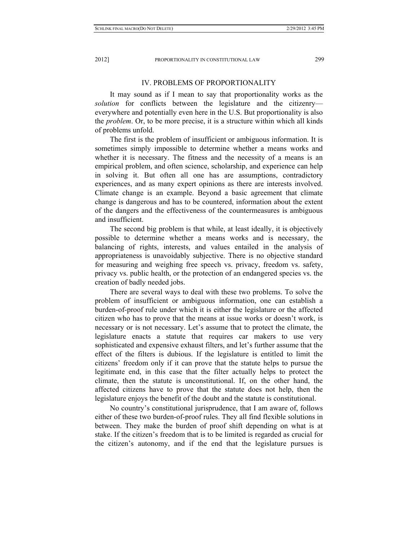#### IV. PROBLEMS OF PROPORTIONALITY

It may sound as if I mean to say that proportionality works as the *solution* for conflicts between the legislature and the citizenry everywhere and potentially even here in the U.S. But proportionality is also the *problem*. Or, to be more precise, it is a structure within which all kinds of problems unfold.

The first is the problem of insufficient or ambiguous information. It is sometimes simply impossible to determine whether a means works and whether it is necessary. The fitness and the necessity of a means is an empirical problem, and often science, scholarship, and experience can help in solving it. But often all one has are assumptions, contradictory experiences, and as many expert opinions as there are interests involved. Climate change is an example. Beyond a basic agreement that climate change is dangerous and has to be countered, information about the extent of the dangers and the effectiveness of the countermeasures is ambiguous and insufficient.

The second big problem is that while, at least ideally, it is objectively possible to determine whether a means works and is necessary, the balancing of rights, interests, and values entailed in the analysis of appropriateness is unavoidably subjective. There is no objective standard for measuring and weighing free speech vs. privacy, freedom vs. safety, privacy vs. public health, or the protection of an endangered species vs. the creation of badly needed jobs.

There are several ways to deal with these two problems. To solve the problem of insufficient or ambiguous information, one can establish a burden-of-proof rule under which it is either the legislature or the affected citizen who has to prove that the means at issue works or doesn't work, is necessary or is not necessary. Let's assume that to protect the climate, the legislature enacts a statute that requires car makers to use very sophisticated and expensive exhaust filters, and let's further assume that the effect of the filters is dubious. If the legislature is entitled to limit the citizens' freedom only if it can prove that the statute helps to pursue the legitimate end, in this case that the filter actually helps to protect the climate, then the statute is unconstitutional. If, on the other hand, the affected citizens have to prove that the statute does not help, then the legislature enjoys the benefit of the doubt and the statute is constitutional.

No country's constitutional jurisprudence, that I am aware of, follows either of these two burden-of-proof rules. They all find flexible solutions in between. They make the burden of proof shift depending on what is at stake. If the citizen's freedom that is to be limited is regarded as crucial for the citizen's autonomy, and if the end that the legislature pursues is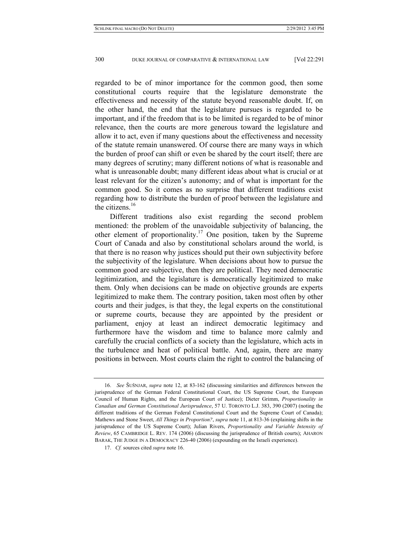regarded to be of minor importance for the common good, then some constitutional courts require that the legislature demonstrate the effectiveness and necessity of the statute beyond reasonable doubt. If, on the other hand, the end that the legislature pursues is regarded to be important, and if the freedom that is to be limited is regarded to be of minor relevance, then the courts are more generous toward the legislature and allow it to act, even if many questions about the effectiveness and necessity of the statute remain unanswered. Of course there are many ways in which the burden of proof can shift or even be shared by the court itself; there are many degrees of scrutiny; many different notions of what is reasonable and what is unreasonable doubt; many different ideas about what is crucial or at least relevant for the citizen's autonomy; and of what is important for the common good. So it comes as no surprise that different traditions exist regarding how to distribute the burden of proof between the legislature and the citizens.<sup>16</sup>

Different traditions also exist regarding the second problem mentioned: the problem of the unavoidable subjectivity of balancing, the other element of proportionality.<sup>17</sup> One position, taken by the Supreme Court of Canada and also by constitutional scholars around the world, is that there is no reason why justices should put their own subjectivity before the subjectivity of the legislature. When decisions about how to pursue the common good are subjective, then they are political. They need democratic legitimization, and the legislature is democratically legitimized to make them. Only when decisions can be made on objective grounds are experts legitimized to make them. The contrary position, taken most often by other courts and their judges, is that they, the legal experts on the constitutional or supreme courts, because they are appointed by the president or parliament, enjoy at least an indirect democratic legitimacy and furthermore have the wisdom and time to balance more calmly and carefully the crucial conflicts of a society than the legislature, which acts in the turbulence and heat of political battle. And, again, there are many positions in between. Most courts claim the right to control the balancing of

 <sup>16.</sup> *See* ŠUŠNJAR, *supra* note 12, at 83-162 (discussing similarities and differences between the jurisprudence of the German Federal Constitutional Court, the US Supreme Court, the European Council of Human Rights, and the European Court of Justice); Dieter Grimm, *Proportionality in Canadian and German Constitutional Jurisprudence*, 57 U. TORONTO L.J. 383, 390 (2007) (noting the different traditions of the German Federal Constitutional Court and the Supreme Court of Canada); Mathews and Stone Sweet, *All Things in Proportion?*, *supra* note 11, at 813-36 (explaining shifts in the jurisprudence of the US Supreme Court); Julian Rivers, *Proportionality and Variable Intensity of Review*, 65 CAMBRIDGE L. REV. 174 (2006) (discussing the jurisprudence of British courts); AHARON BARAK, THE JUDGE IN A DEMOCRACY 226-40 (2006) (expounding on the Israeli experience).

 <sup>17.</sup> *Cf.* sources cited *supra* note 16.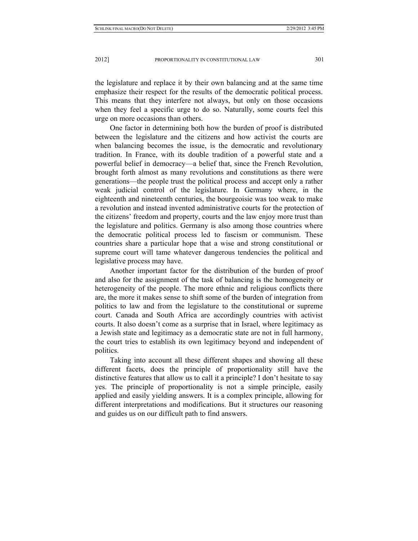the legislature and replace it by their own balancing and at the same time emphasize their respect for the results of the democratic political process. This means that they interfere not always, but only on those occasions when they feel a specific urge to do so. Naturally, some courts feel this urge on more occasions than others.

One factor in determining both how the burden of proof is distributed between the legislature and the citizens and how activist the courts are when balancing becomes the issue, is the democratic and revolutionary tradition. In France, with its double tradition of a powerful state and a powerful belief in democracy—a belief that, since the French Revolution, brought forth almost as many revolutions and constitutions as there were generations—the people trust the political process and accept only a rather weak judicial control of the legislature. In Germany where, in the eighteenth and nineteenth centuries, the bourgeoisie was too weak to make a revolution and instead invented administrative courts for the protection of the citizens' freedom and property, courts and the law enjoy more trust than the legislature and politics. Germany is also among those countries where the democratic political process led to fascism or communism. These countries share a particular hope that a wise and strong constitutional or supreme court will tame whatever dangerous tendencies the political and legislative process may have.

Another important factor for the distribution of the burden of proof and also for the assignment of the task of balancing is the homogeneity or heterogeneity of the people. The more ethnic and religious conflicts there are, the more it makes sense to shift some of the burden of integration from politics to law and from the legislature to the constitutional or supreme court. Canada and South Africa are accordingly countries with activist courts. It also doesn't come as a surprise that in Israel, where legitimacy as a Jewish state and legitimacy as a democratic state are not in full harmony, the court tries to establish its own legitimacy beyond and independent of politics.

Taking into account all these different shapes and showing all these different facets, does the principle of proportionality still have the distinctive features that allow us to call it a principle? I don't hesitate to say yes. The principle of proportionality is not a simple principle, easily applied and easily yielding answers. It is a complex principle, allowing for different interpretations and modifications. But it structures our reasoning and guides us on our difficult path to find answers.